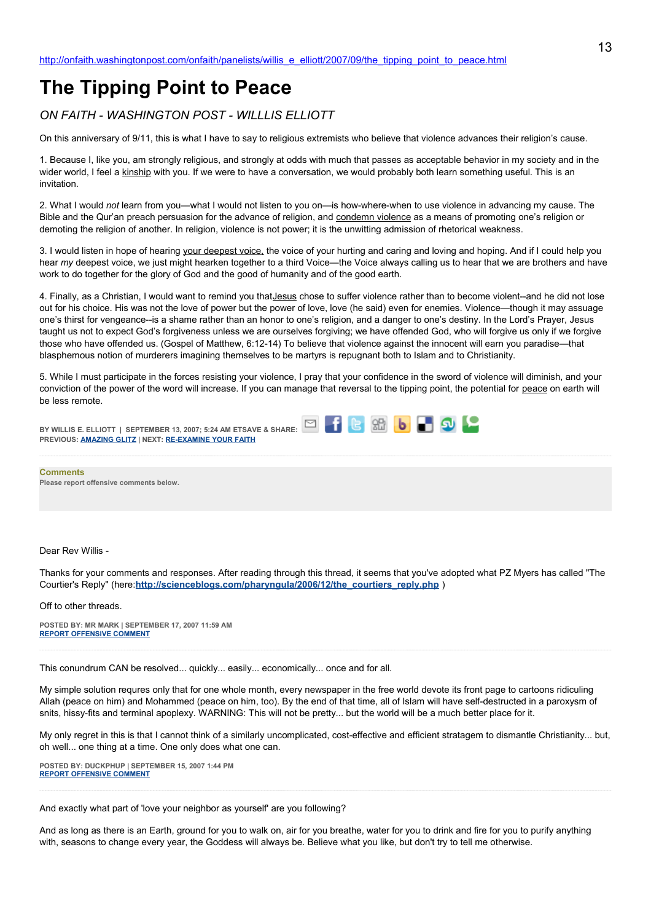# **The Tipping Point to Peace**

*ON FAITH - WASHINGTON POST - WILLLIS ELLIOTT*

On this anniversary of 9/11, this is what I have to say to religious extremists who believe that violence advances their religion's cause.

1. Because I, like you, am strongly religious, and strongly at odds with much that passes as acceptable behavior in my society and in the wider world, I feel a kinship with you. If we were to have a conversation, we would probably both learn something useful. This is an invitation.

2. What I would *not* learn from you—what I would not listen to you on—is how-where-when to use violence in advancing my cause. The Bible and the Qur'an preach persuasion for the advance of religion, and condemn violence as a means of promoting one's religion or demoting the religion of another. In religion, violence is not power; it is the unwitting admission of rhetorical weakness.

3. I would listen in hope of hearing your deepest voice, the voice of your hurting and caring and loving and hoping. And if I could help you hear *my* deepest voice, we just might hearken together to a third Voice—the Voice always calling us to hear that we are brothers and have work to do together for the glory of God and the good of humanity and of the good earth.

4. Finally, as a Christian, I would want to remind you that Jesus chose to suffer violence rather than to become violent--and he did not lose out for his choice. His was not the love of power but the power of love, love (he said) even for enemies. Violence—though it may assuage one's thirst for vengeance--is a shame rather than an honor to one's religion, and a danger to one's destiny. In the Lord's Prayer, Jesus taught us not to expect God's forgiveness unless we are ourselves forgiving; we have offended God, who will forgive us only if we forgive those who have offended us. (Gospel of Matthew, 6:12-14) To believe that violence against the innocent will earn you paradise—that blasphemous notion of murderers imagining themselves to be martyrs is repugnant both to Islam and to Christianity.

5. While I must participate in the forces resisting your violence, I pray that your confidence in the sword of violence will diminish, and your conviction of the power of the word will increase. If you can manage that reversal to the tipping point, the potential for peace on earth will be less remote.



**Comments**

**Please report offensive comments below.**

Dear Rev Willis -

Thanks for your comments and responses. After reading through this thread, it seems that you've adopted what PZ Myers has called "The Courtier's Reply" (here:**[http://scienceblogs.com/pharyngula/2006/12/the\\_courtiers\\_reply.php](http://scienceblogs.com/pharyngula/2006/12/the_courtiers_reply.php)** )

Off to other threads.

**POSTED BY: MR MARK | SEPTEMBER 17, 2007 11:59 AM [REPORT OFFENSIVE COMMENT](mailto:blogs@washingtonpost.com?subject=On%20Faith%20Panelists%20Blog%20%20%7C%20%20Mr%20Mark%20%20%7C%20%20The%20Tipping%20Point%20to%20Peace%20%20%7C%20%201392350&body=%0D%0D%0D%0D%0D================%0D?__mode=view%26_type=comment%26id=1392350%26blog_id=618)**

This conundrum CAN be resolved... quickly... easily... economically... once and for all.

My simple solution requres only that for one whole month, every newspaper in the free world devote its front page to cartoons ridiculing Allah (peace on him) and Mohammed (peace on him, too). By the end of that time, all of Islam will have self-destructed in a paroxysm of snits, hissy-fits and terminal apoplexy. WARNING: This will not be pretty... but the world will be a much better place for it.

My only regret in this is that I cannot think of a similarly uncomplicated, cost-effective and efficient stratagem to dismantle Christianity... but, oh well... one thing at a time. One only does what one can.

**POSTED BY: DUCKPHUP | SEPTEMBER 15, 2007 1:44 PM [REPORT OFFENSIVE COMMENT](mailto:blogs@washingtonpost.com?subject=On%20Faith%20Panelists%20Blog%20%20%7C%20%20Duckphup%20%20%7C%20%20The%20Tipping%20Point%20to%20Peace%20%20%7C%20%201386080&body=%0D%0D%0D%0D%0D================%0D?__mode=view%26_type=comment%26id=1386080%26blog_id=618)**

And exactly what part of 'love your neighbor as yourself' are you following?

And as long as there is an Earth, ground for you to walk on, air for you breathe, water for you to drink and fire for you to purify anything with, seasons to change every year, the Goddess will always be. Believe what you like, but don't try to tell me otherwise.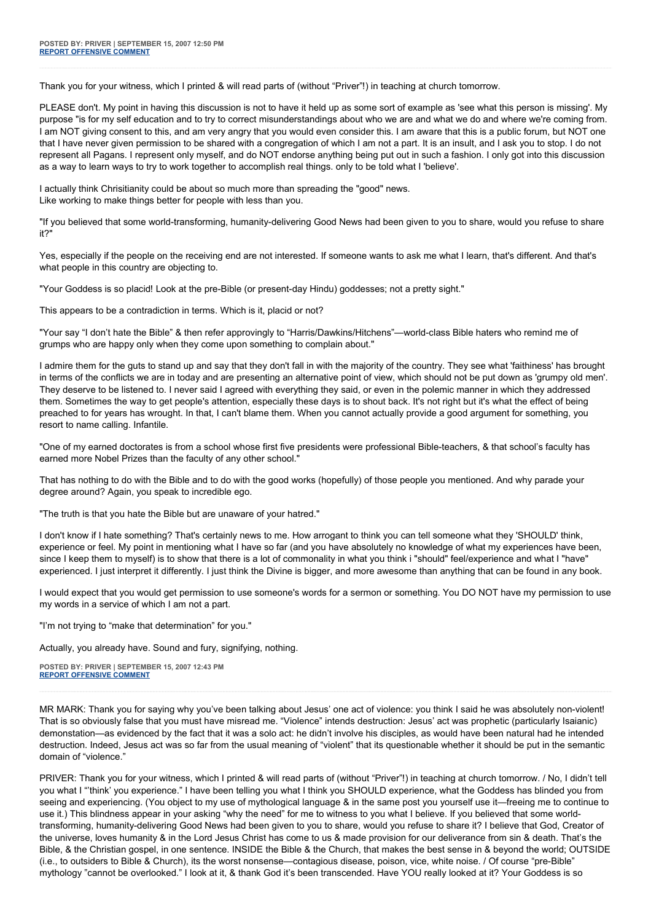Thank you for your witness, which I printed & will read parts of (without "Priver"!) in teaching at church tomorrow.

PLEASE don't. My point in having this discussion is not to have it held up as some sort of example as 'see what this person is missing'. My purpose "is for my self education and to try to correct misunderstandings about who we are and what we do and where we're coming from. I am NOT giving consent to this, and am very angry that you would even consider this. I am aware that this is a public forum, but NOT one that I have never given permission to be shared with a congregation of which I am not a part. It is an insult, and I ask you to stop. I do not represent all Pagans. I represent only myself, and do NOT endorse anything being put out in such a fashion. I only got into this discussion as a way to learn ways to try to work together to accomplish real things, only to be told what I 'believe'.

I actually think Chrisitianity could be about so much more than spreading the "good" news. Like working to make things better for people with less than you.

"If you believed that some world-transforming, humanity-delivering Good News had been given to you to share, would you refuse to share it?"

Yes, especially if the people on the receiving end are not interested. If someone wants to ask me what I learn, that's different. And that's what people in this country are objecting to.

"Your Goddess is so placid! Look at the pre-Bible (or present-day Hindu) goddesses; not a pretty sight."

This appears to be a contradiction in terms. Which is it, placid or not?

"Your say "I don't hate the Bible" & then refer approvingly to "Harris/Dawkins/Hitchens"—world-class Bible haters who remind me of grumps who are happy only when they come upon something to complain about."

I admire them for the guts to stand up and say that they don't fall in with the majority of the country. They see what 'faithiness' has brought in terms of the conflicts we are in today and are presenting an alternative point of view, which should not be put down as 'grumpy old men'. They deserve to be listened to. I never said I agreed with everything they said, or even in the polemic manner in which they addressed them. Sometimes the way to get people's attention, especially these days is to shout back. It's not right but it's what the effect of being preached to for years has wrought. In that, I can't blame them. When you cannot actually provide a good argument for something, you resort to name calling. Infantile.

"One of my earned doctorates is from a school whose first five presidents were professional Bible-teachers, & that school's faculty has earned more Nobel Prizes than the faculty of any other school."

That has nothing to do with the Bible and to do with the good works (hopefully) of those people you mentioned. And why parade your degree around? Again, you speak to incredible ego.

"The truth is that you hate the Bible but are unaware of your hatred."

I don't know if I hate something? That's certainly news to me. How arrogant to think you can tell someone what they 'SHOULD' think, experience or feel. My point in mentioning what I have so far (and you have absolutely no knowledge of what my experiences have been, since I keep them to myself) is to show that there is a lot of commonality in what you think i "should" feel/experience and what I "have" experienced. I just interpret it differently. I just think the Divine is bigger, and more awesome than anything that can be found in any book.

I would expect that you would get permission to use someone's words for a sermon or something. You DO NOT have my permission to use my words in a service of which I am not a part.

"I'm not trying to "make that determination" for you."

Actually, you already have. Sound and fury, signifying, nothing.

**POSTED BY: PRIVER | SEPTEMBER 15, 2007 12:43 PM [REPORT OFFENSIVE COMMENT](mailto:blogs@washingtonpost.com?subject=On%20Faith%20Panelists%20Blog%20%20%7C%20%20Priver%20%20%7C%20%20The%20Tipping%20Point%20to%20Peace%20%20%7C%20%201385944&body=%0D%0D%0D%0D%0D================%0D?__mode=view%26_type=comment%26id=1385944%26blog_id=618)**

MR MARK: Thank you for saying why you've been talking about Jesus' one act of violence: you think I said he was absolutely non-violent! That is so obviously false that you must have misread me. "Violence" intends destruction: Jesus' act was prophetic (particularly Isaianic) demonstation—as evidenced by the fact that it was a solo act: he didn't involve his disciples, as would have been natural had he intended destruction. Indeed, Jesus act was so far from the usual meaning of "violent" that its questionable whether it should be put in the semantic domain of "violence."

PRIVER: Thank you for your witness, which I printed & will read parts of (without "Priver"!) in teaching at church tomorrow. / No, I didn't tell you what I "'think' you experience." I have been telling you what I think you SHOULD experience, what the Goddess has blinded you from seeing and experiencing. (You object to my use of mythological language & in the same post you yourself use it—freeing me to continue to use it.) This blindness appear in your asking "why the need" for me to witness to you what I believe. If you believed that some worldtransforming, humanity-delivering Good News had been given to you to share, would you refuse to share it? I believe that God, Creator of the universe, loves humanity & in the Lord Jesus Christ has come to us & made provision for our deliverance from sin & death. That's the Bible, & the Christian gospel, in one sentence. INSIDE the Bible & the Church, that makes the best sense in & beyond the world; OUTSIDE (i.e., to outsiders to Bible & Church), its the worst nonsense—contagious disease, poison, vice, white noise. / Of course "pre-Bible" mythology "cannot be overlooked." I look at it, & thank God it's been transcended. Have YOU really looked at it? Your Goddess is so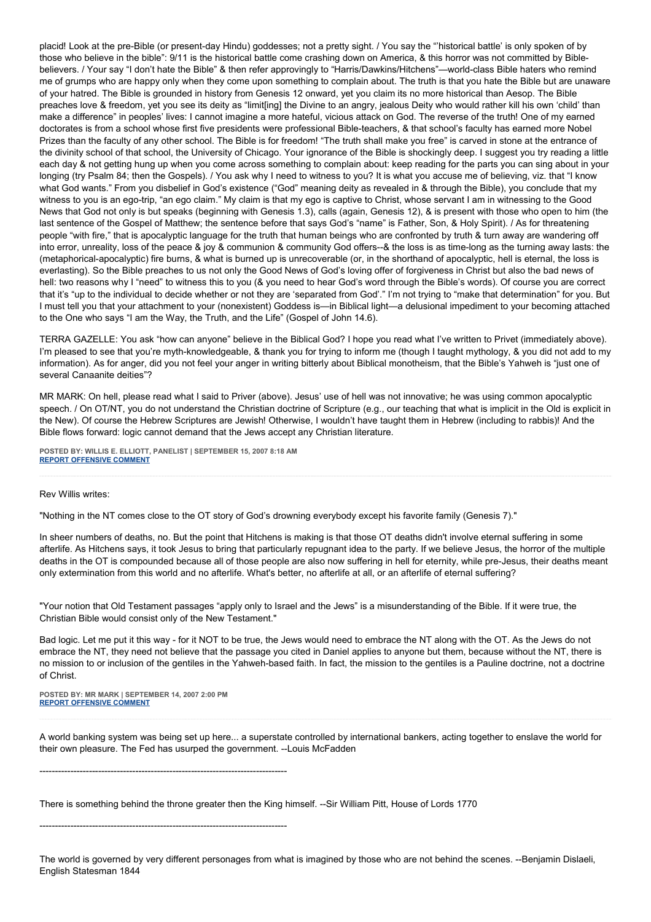placid! Look at the pre-Bible (or present-day Hindu) goddesses; not a pretty sight. / You say the "'historical battle' is only spoken of by those who believe in the bible": 9/11 is the historical battle come crashing down on America, & this horror was not committed by Biblebelievers. / Your say "I don't hate the Bible" & then refer approvingly to "Harris/Dawkins/Hitchens"—world-class Bible haters who remind me of grumps who are happy only when they come upon something to complain about. The truth is that you hate the Bible but are unaware of your hatred. The Bible is grounded in history from Genesis 12 onward, yet you claim its no more historical than Aesop. The Bible preaches love & freedom, yet you see its deity as "limit[ing] the Divine to an angry, jealous Deity who would rather kill his own 'child' than make a difference" in peoples' lives: I cannot imagine a more hateful, vicious attack on God. The reverse of the truth! One of my earned doctorates is from a school whose first five presidents were professional Bible-teachers, & that school's faculty has earned more Nobel Prizes than the faculty of any other school. The Bible is for freedom! "The truth shall make you free" is carved in stone at the entrance of the divinity school of that school, the University of Chicago. Your ignorance of the Bible is shockingly deep. I suggest you try reading a little each day & not getting hung up when you come across something to complain about: keep reading for the parts you can sing about in your longing (try Psalm 84; then the Gospels). / You ask why I need to witness to you? It is what you accuse me of believing, viz. that "I know what God wants." From you disbelief in God's existence ("God" meaning deity as revealed in & through the Bible), you conclude that my witness to you is an ego-trip, "an ego claim." My claim is that my ego is captive to Christ, whose servant I am in witnessing to the Good News that God not only is but speaks (beginning with Genesis 1.3), calls (again, Genesis 12), & is present with those who open to him (the last sentence of the Gospel of Matthew; the sentence before that says God's "name" is Father, Son, & Holy Spirit). / As for threatening people "with fire," that is apocalyptic language for the truth that human beings who are confronted by truth & turn away are wandering off into error, unreality, loss of the peace & joy & communion & community God offers--& the loss is as time-long as the turning away lasts: the (metaphorical-apocalyptic) fire burns, & what is burned up is unrecoverable (or, in the shorthand of apocalyptic, hell is eternal, the loss is everlasting). So the Bible preaches to us not only the Good News of God's loving offer of forgiveness in Christ but also the bad news of hell: two reasons why I "need" to witness this to you (& you need to hear God's word through the Bible's words). Of course you are correct that it's "up to the individual to decide whether or not they are 'separated from God'." I'm not trying to "make that determination" for you. But I must tell you that your attachment to your (nonexistent) Goddess is—in Biblical light—a delusional impediment to your becoming attached to the One who says "I am the Way, the Truth, and the Life" (Gospel of John 14.6).

TERRA GAZELLE: You ask "how can anyone" believe in the Biblical God? I hope you read what I've written to Privet (immediately above). I'm pleased to see that you're myth-knowledgeable, & thank you for trying to inform me (though I taught mythology, & you did not add to my information). As for anger, did you not feel your anger in writing bitterly about Biblical monotheism, that the Bible's Yahweh is "just one of several Canaanite deities"?

MR MARK: On hell, please read what I said to Priver (above). Jesus' use of hell was not innovative; he was using common apocalyptic speech. / On OT/NT, you do not understand the Christian doctrine of Scripture (e.g., our teaching that what is implicit in the Old is explicit in the New). Of course the Hebrew Scriptures are Jewish! Otherwise, I wouldn't have taught them in Hebrew (including to rabbis)! And the Bible flows forward: logic cannot demand that the Jews accept any Christian literature.

**POSTED BY: WILLIS E. ELLIOTT, PANELIST | SEPTEMBER 15, 2007 8:18 AM [REPORT OFFENSIVE COMMENT](mailto:blogs@washingtonpost.com?subject=On%20Faith%20Panelists%20Blog%20%20%7C%20%20Willis%20E.%20Elliott,%20panelist%20%20%7C%20%20The%20Tipping%20Point%20to%20Peace%20%20%7C%20%201385189&body=%0D%0D%0D%0D%0D================%0D?__mode=view%26_type=comment%26id=1385189%26blog_id=618)**

#### Rev Willis writes:

"Nothing in the NT comes close to the OT story of God's drowning everybody except his favorite family (Genesis 7)."

In sheer numbers of deaths, no. But the point that Hitchens is making is that those OT deaths didn't involve eternal suffering in some afterlife. As Hitchens says, it took Jesus to bring that particularly repugnant idea to the party. If we believe Jesus, the horror of the multiple deaths in the OT is compounded because all of those people are also now suffering in hell for eternity, while pre-Jesus, their deaths meant only extermination from this world and no afterlife. What's better, no afterlife at all, or an afterlife of eternal suffering?

"Your notion that Old Testament passages "apply only to Israel and the Jews" is a misunderstanding of the Bible. If it were true, the Christian Bible would consist only of the New Testament."

Bad logic. Let me put it this way - for it NOT to be true, the Jews would need to embrace the NT along with the OT. As the Jews do not embrace the NT, they need not believe that the passage you cited in Daniel applies to anyone but them, because without the NT, there is no mission to or inclusion of the gentiles in the Yahweh-based faith. In fact, the mission to the gentiles is a Pauline doctrine, not a doctrine of Christ.

**POSTED BY: MR MARK | SEPTEMBER 14, 2007 2:00 PM [REPORT OFFENSIVE COMMENT](mailto:blogs@washingtonpost.com?subject=On%20Faith%20Panelists%20Blog%20%20%7C%20%20Mr%20Mark%20%20%7C%20%20The%20Tipping%20Point%20to%20Peace%20%20%7C%20%201382261&body=%0D%0D%0D%0D%0D================%0D?__mode=view%26_type=comment%26id=1382261%26blog_id=618)**

A world banking system was being set up here... a superstate controlled by international bankers, acting together to enslave the world for their own pleasure. The Fed has usurped the government. --Louis McFadden

--------------------------------------------------------------------------------

There is something behind the throne greater then the King himself. --Sir William Pitt, House of Lords 1770

--------------------------------------------------------------------------------

The world is governed by very different personages from what is imagined by those who are not behind the scenes. --Benjamin Dislaeli, English Statesman 1844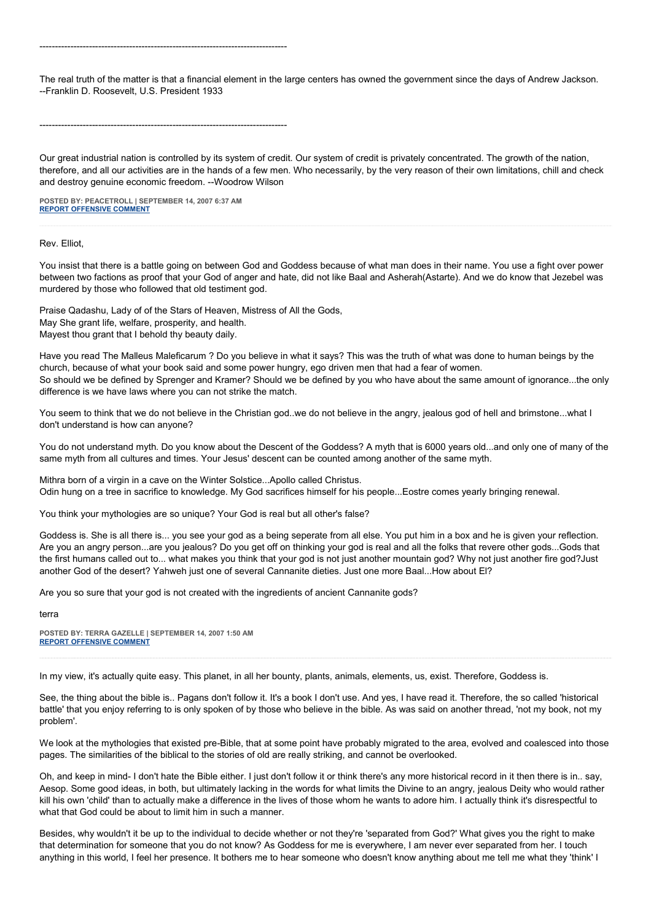--------------------------------------------------------------------------------

The real truth of the matter is that a financial element in the large centers has owned the government since the days of Andrew Jackson. --Franklin D. Roosevelt, U.S. President 1933

--------------------------------------------------------------------------------

Our great industrial nation is controlled by its system of credit. Our system of credit is privately concentrated. The growth of the nation, therefore, and all our activities are in the hands of a few men. Who necessarily, by the very reason of their own limitations, chill and check and destroy genuine economic freedom. --Woodrow Wilson

**POSTED BY: PEACETROLL | SEPTEMBER 14, 2007 6:37 AM [REPORT OFFENSIVE COMMENT](mailto:blogs@washingtonpost.com?subject=On%20Faith%20Panelists%20Blog%20%20%7C%20%20Peacetroll%20%20%7C%20%20The%20Tipping%20Point%20to%20Peace%20%20%7C%20%201381256&body=%0D%0D%0D%0D%0D================%0D?__mode=view%26_type=comment%26id=1381256%26blog_id=618)**

Rev. Elliot,

You insist that there is a battle going on between God and Goddess because of what man does in their name. You use a fight over power between two factions as proof that your God of anger and hate, did not like Baal and Asherah(Astarte). And we do know that Jezebel was murdered by those who followed that old testiment god.

Praise Qadashu, Lady of of the Stars of Heaven, Mistress of All the Gods, May She grant life, welfare, prosperity, and health. Mayest thou grant that I behold thy beauty daily.

Have you read The Malleus Maleficarum ? Do you believe in what it says? This was the truth of what was done to human beings by the church, because of what your book said and some power hungry, ego driven men that had a fear of women. So should we be defined by Sprenger and Kramer? Should we be defined by you who have about the same amount of ignorance...the only difference is we have laws where you can not strike the match.

You seem to think that we do not believe in the Christian god..we do not believe in the angry, jealous god of hell and brimstone...what I don't understand is how can anyone?

You do not understand myth. Do you know about the Descent of the Goddess? A myth that is 6000 years old...and only one of many of the same myth from all cultures and times. Your Jesus' descent can be counted among another of the same myth.

Mithra born of a virgin in a cave on the Winter Solstice...Apollo called Christus. Odin hung on a tree in sacrifice to knowledge. My God sacrifices himself for his people...Eostre comes yearly bringing renewal.

You think your mythologies are so unique? Your God is real but all other's false?

Goddess is. She is all there is... you see your god as a being seperate from all else. You put him in a box and he is given your reflection. Are you an angry person...are you jealous? Do you get off on thinking your god is real and all the folks that revere other gods...Gods that the first humans called out to... what makes you think that your god is not just another mountain god? Why not just another fire god?Just another God of the desert? Yahweh just one of several Cannanite dieties. Just one more Baal...How about El?

Are you so sure that your god is not created with the ingredients of ancient Cannanite gods?

terra

**POSTED BY: TERRA GAZELLE | SEPTEMBER 14, 2007 1:50 AM [REPORT OFFENSIVE COMMENT](mailto:blogs@washingtonpost.com?subject=On%20Faith%20Panelists%20Blog%20%20%7C%20%20Terra%20Gazelle%20%20%7C%20%20The%20Tipping%20Point%20to%20Peace%20%20%7C%20%201380582&body=%0D%0D%0D%0D%0D================%0D?__mode=view%26_type=comment%26id=1380582%26blog_id=618)**

In my view, it's actually quite easy. This planet, in all her bounty, plants, animals, elements, us, exist. Therefore, Goddess is.

See, the thing about the bible is.. Pagans don't follow it. It's a book I don't use. And yes, I have read it. Therefore, the so called 'historical battle' that you enjoy referring to is only spoken of by those who believe in the bible. As was said on another thread, 'not my book, not my problem'.

We look at the mythologies that existed pre-Bible, that at some point have probably migrated to the area, evolved and coalesced into those pages. The similarities of the biblical to the stories of old are really striking, and cannot be overlooked.

Oh, and keep in mind- I don't hate the Bible either. I just don't follow it or think there's any more historical record in it then there is in.. say, Aesop. Some good ideas, in both, but ultimately lacking in the words for what limits the Divine to an angry, jealous Deity who would rather kill his own 'child' than to actually make a difference in the lives of those whom he wants to adore him. I actually think it's disrespectful to what that God could be about to limit him in such a manner.

Besides, why wouldn't it be up to the individual to decide whether or not they're 'separated from God?' What gives you the right to make that determination for someone that you do not know? As Goddess for me is everywhere, I am never ever separated from her. I touch anything in this world, I feel her presence. It bothers me to hear someone who doesn't know anything about me tell me what they 'think' I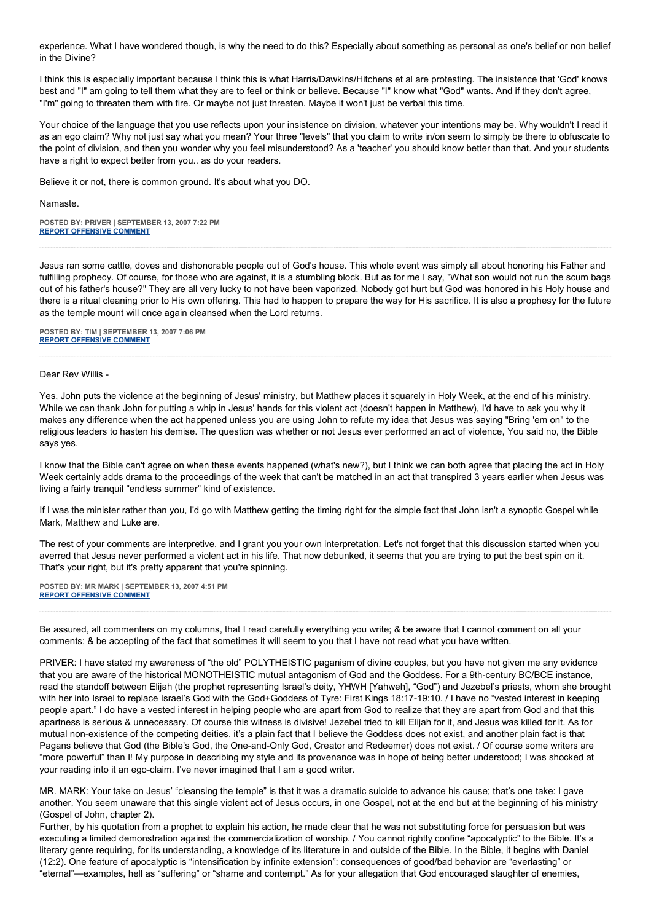experience. What I have wondered though, is why the need to do this? Especially about something as personal as one's belief or non belief in the Divine?

I think this is especially important because I think this is what Harris/Dawkins/Hitchens et al are protesting. The insistence that 'God' knows best and "I" am going to tell them what they are to feel or think or believe. Because "I" know what "God" wants. And if they don't agree, "I'm" going to threaten them with fire. Or maybe not just threaten. Maybe it won't just be verbal this time.

Your choice of the language that you use reflects upon your insistence on division, whatever your intentions may be. Why wouldn't I read it as an ego claim? Why not just say what you mean? Your three "levels" that you claim to write in/on seem to simply be there to obfuscate to the point of division, and then you wonder why you feel misunderstood? As a 'teacher' you should know better than that. And your students have a right to expect better from you.. as do your readers.

Believe it or not, there is common ground. It's about what you DO.

## Namaste.

**POSTED BY: PRIVER | SEPTEMBER 13, 2007 7:22 PM [REPORT OFFENSIVE COMMENT](mailto:blogs@washingtonpost.com?subject=On%20Faith%20Panelists%20Blog%20%20%7C%20%20Priver%20%20%7C%20%20The%20Tipping%20Point%20to%20Peace%20%20%7C%20%201379816&body=%0D%0D%0D%0D%0D================%0D?__mode=view%26_type=comment%26id=1379816%26blog_id=618)**

Jesus ran some cattle, doves and dishonorable people out of God's house. This whole event was simply all about honoring his Father and fulfilling prophecy. Of course, for those who are against, it is a stumbling block. But as for me I say, "What son would not run the scum bags out of his father's house?" They are all very lucky to not have been vaporized. Nobody got hurt but God was honored in his Holy house and there is a ritual cleaning prior to His own offering. This had to happen to prepare the way for His sacrifice. It is also a prophesy for the future as the temple mount will once again cleansed when the Lord returns.

**POSTED BY: TIM | SEPTEMBER 13, 2007 7:06 PM [REPORT OFFENSIVE COMMENT](mailto:blogs@washingtonpost.com?subject=On%20Faith%20Panelists%20Blog%20%20%7C%20%20Tim%20%20%7C%20%20The%20Tipping%20Point%20to%20Peace%20%20%7C%20%201379783&body=%0D%0D%0D%0D%0D================%0D?__mode=view%26_type=comment%26id=1379783%26blog_id=618)**

## Dear Rev Willis -

Yes, John puts the violence at the beginning of Jesus' ministry, but Matthew places it squarely in Holy Week, at the end of his ministry. While we can thank John for putting a whip in Jesus' hands for this violent act (doesn't happen in Matthew), I'd have to ask you why it makes any difference when the act happened unless you are using John to refute my idea that Jesus was saying "Bring 'em on" to the religious leaders to hasten his demise. The question was whether or not Jesus ever performed an act of violence, You said no, the Bible says yes.

I know that the Bible can't agree on when these events happened (what's new?), but I think we can both agree that placing the act in Holy Week certainly adds drama to the proceedings of the week that can't be matched in an act that transpired 3 years earlier when Jesus was living a fairly tranquil "endless summer" kind of existence.

If I was the minister rather than you, I'd go with Matthew getting the timing right for the simple fact that John isn't a synoptic Gospel while Mark, Matthew and Luke are.

The rest of your comments are interpretive, and I grant you your own interpretation. Let's not forget that this discussion started when you averred that Jesus never performed a violent act in his life. That now debunked, it seems that you are trying to put the best spin on it. That's your right, but it's pretty apparent that you're spinning.

**POSTED BY: MR MARK | SEPTEMBER 13, 2007 4:51 PM [REPORT OFFENSIVE COMMENT](mailto:blogs@washingtonpost.com?subject=On%20Faith%20Panelists%20Blog%20%20%7C%20%20Mr%20Mark%20%20%7C%20%20The%20Tipping%20Point%20to%20Peace%20%20%7C%20%201379479&body=%0D%0D%0D%0D%0D================%0D?__mode=view%26_type=comment%26id=1379479%26blog_id=618)**

Be assured, all commenters on my columns, that I read carefully everything you write; & be aware that I cannot comment on all your comments; & be accepting of the fact that sometimes it will seem to you that I have not read what you have written.

PRIVER: I have stated my awareness of "the old" POLYTHEISTIC paganism of divine couples, but you have not given me any evidence that you are aware of the historical MONOTHEISTIC mutual antagonism of God and the Goddess. For a 9th-century BC/BCE instance, read the standoff between Elijah (the prophet representing Israel's deity, YHWH [Yahweh], "God") and Jezebel's priests, whom she brought with her into Israel to replace Israel's God with the God+Goddess of Tyre: First Kings 18:17-19:10. / I have no "vested interest in keeping people apart." I do have a vested interest in helping people who are apart from God to realize that they are apart from God and that this apartness is serious & unnecessary. Of course this witness is divisive! Jezebel tried to kill Elijah for it, and Jesus was killed for it. As for mutual non-existence of the competing deities, it's a plain fact that I believe the Goddess does not exist, and another plain fact is that Pagans believe that God (the Bible's God, the One-and-Only God, Creator and Redeemer) does not exist. / Of course some writers are "more powerful" than I! My purpose in describing my style and its provenance was in hope of being better understood; I was shocked at your reading into it an ego-claim. I've never imagined that I am a good writer.

MR. MARK: Your take on Jesus' "cleansing the temple" is that it was a dramatic suicide to advance his cause; that's one take: I gave another. You seem unaware that this single violent act of Jesus occurs, in one Gospel, not at the end but at the beginning of his ministry (Gospel of John, chapter 2).

Further, by his quotation from a prophet to explain his action, he made clear that he was not substituting force for persuasion but was executing a limited demonstration against the commercialization of worship. / You cannot rightly confine "apocalyptic" to the Bible. It's a literary genre requiring, for its understanding, a knowledge of its literature in and outside of the Bible. In the Bible, it begins with Daniel (12:2). One feature of apocalyptic is "intensification by infinite extension": consequences of good/bad behavior are "everlasting" or "eternal"—examples, hell as "suffering" or "shame and contempt." As for your allegation that God encouraged slaughter of enemies,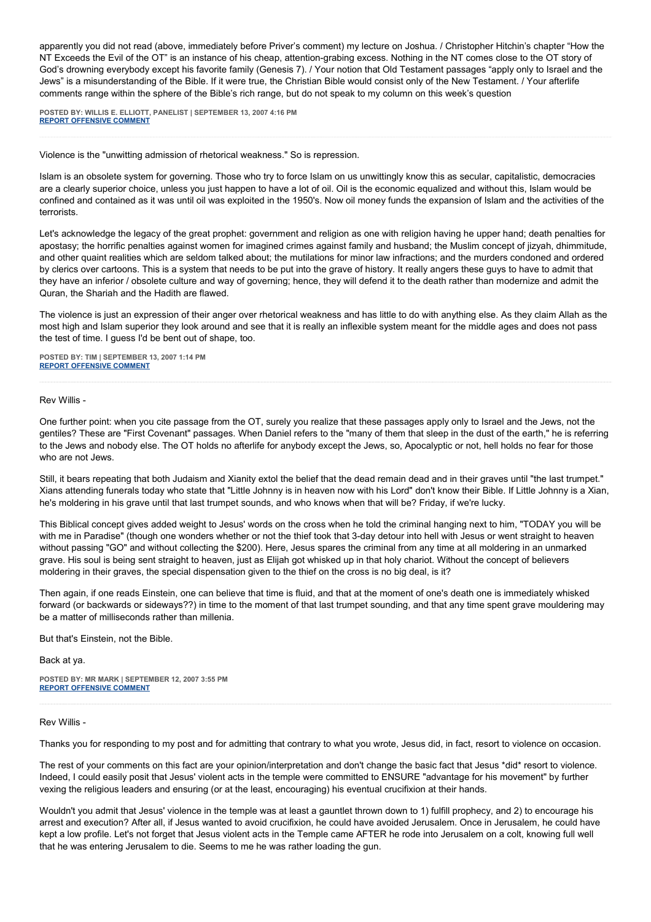apparently you did not read (above, immediately before Priver's comment) my lecture on Joshua. / Christopher Hitchin's chapter "How the NT Exceeds the Evil of the OT" is an instance of his cheap, attention-grabing excess. Nothing in the NT comes close to the OT story of God's drowning everybody except his favorite family (Genesis 7). / Your notion that Old Testament passages "apply only to Israel and the Jews" is a misunderstanding of the Bible. If it were true, the Christian Bible would consist only of the New Testament. / Your afterlife comments range within the sphere of the Bible's rich range, but do not speak to my column on this week's question

**POSTED BY: WILLIS E. ELLIOTT, PANELIST | SEPTEMBER 13, 2007 4:16 PM [REPORT OFFENSIVE COMMENT](mailto:blogs@washingtonpost.com?subject=On%20Faith%20Panelists%20Blog%20%20%7C%20%20Willis%20E.%20Elliott,%20panelist%20%20%7C%20%20The%20Tipping%20Point%20to%20Peace%20%20%7C%20%201379398&body=%0D%0D%0D%0D%0D================%0D?__mode=view%26_type=comment%26id=1379398%26blog_id=618)**

Violence is the "unwitting admission of rhetorical weakness." So is repression.

Islam is an obsolete system for governing. Those who try to force Islam on us unwittingly know this as secular, capitalistic, democracies are a clearly superior choice, unless you just happen to have a lot of oil. Oil is the economic equalized and without this, Islam would be confined and contained as it was until oil was exploited in the 1950's. Now oil money funds the expansion of Islam and the activities of the terrorists.

Let's acknowledge the legacy of the great prophet: government and religion as one with religion having he upper hand; death penalties for apostasy; the horrific penalties against women for imagined crimes against family and husband; the Muslim concept of jizyah, dhimmitude, and other quaint realities which are seldom talked about; the mutilations for minor law infractions; and the murders condoned and ordered by clerics over cartoons. This is a system that needs to be put into the grave of history. It really angers these guys to have to admit that they have an inferior / obsolete culture and way of governing; hence, they will defend it to the death rather than modernize and admit the Quran, the Shariah and the Hadith are flawed.

The violence is just an expression of their anger over rhetorical weakness and has little to do with anything else. As they claim Allah as the most high and Islam superior they look around and see that it is really an inflexible system meant for the middle ages and does not pass the test of time. I guess I'd be bent out of shape, too.

**POSTED BY: TIM | SEPTEMBER 13, 2007 1:14 PM [REPORT OFFENSIVE COMMENT](mailto:blogs@washingtonpost.com?subject=On%20Faith%20Panelists%20Blog%20%20%7C%20%20Tim%20%20%7C%20%20The%20Tipping%20Point%20to%20Peace%20%20%7C%20%201378927&body=%0D%0D%0D%0D%0D================%0D?__mode=view%26_type=comment%26id=1378927%26blog_id=618)**

Rev Willis -

One further point: when you cite passage from the OT, surely you realize that these passages apply only to Israel and the Jews, not the gentiles? These are "First Covenant" passages. When Daniel refers to the "many of them that sleep in the dust of the earth," he is referring to the Jews and nobody else. The OT holds no afterlife for anybody except the Jews, so, Apocalyptic or not, hell holds no fear for those who are not Jews.

Still, it bears repeating that both Judaism and Xianity extol the belief that the dead remain dead and in their graves until "the last trumpet." Xians attending funerals today who state that "Little Johnny is in heaven now with his Lord" don't know their Bible. If Little Johnny is a Xian, he's moldering in his grave until that last trumpet sounds, and who knows when that will be? Friday, if we're lucky.

This Biblical concept gives added weight to Jesus' words on the cross when he told the criminal hanging next to him, "TODAY you will be with me in Paradise" (though one wonders whether or not the thief took that 3-day detour into hell with Jesus or went straight to heaven without passing "GO" and without collecting the \$200). Here, Jesus spares the criminal from any time at all moldering in an unmarked grave. His soul is being sent straight to heaven, just as Elijah got whisked up in that holy chariot. Without the concept of believers moldering in their graves, the special dispensation given to the thief on the cross is no big deal, is it?

Then again, if one reads Einstein, one can believe that time is fluid, and that at the moment of one's death one is immediately whisked forward (or backwards or sideways??) in time to the moment of that last trumpet sounding, and that any time spent grave mouldering may be a matter of milliseconds rather than millenia.

But that's Einstein, not the Bible.

Back at ya.

**POSTED BY: MR MARK | SEPTEMBER 12, 2007 3:55 PM [REPORT OFFENSIVE COMMENT](mailto:blogs@washingtonpost.com?subject=On%20Faith%20Panelists%20Blog%20%20%7C%20%20Mr%20Mark%20%20%7C%20%20The%20Tipping%20Point%20to%20Peace%20%20%7C%20%201376174&body=%0D%0D%0D%0D%0D================%0D?__mode=view%26_type=comment%26id=1376174%26blog_id=618)**

Rev Willis -

Thanks you for responding to my post and for admitting that contrary to what you wrote, Jesus did, in fact, resort to violence on occasion.

The rest of your comments on this fact are your opinion/interpretation and don't change the basic fact that Jesus \*did\* resort to violence. Indeed, I could easily posit that Jesus' violent acts in the temple were committed to ENSURE "advantage for his movement" by further vexing the religious leaders and ensuring (or at the least, encouraging) his eventual crucifixion at their hands.

Wouldn't you admit that Jesus' violence in the temple was at least a gauntlet thrown down to 1) fulfill prophecy, and 2) to encourage his arrest and execution? After all, if Jesus wanted to avoid crucifixion, he could have avoided Jerusalem. Once in Jerusalem, he could have kept a low profile. Let's not forget that Jesus violent acts in the Temple came AFTER he rode into Jerusalem on a colt, knowing full well that he was entering Jerusalem to die. Seems to me he was rather loading the gun.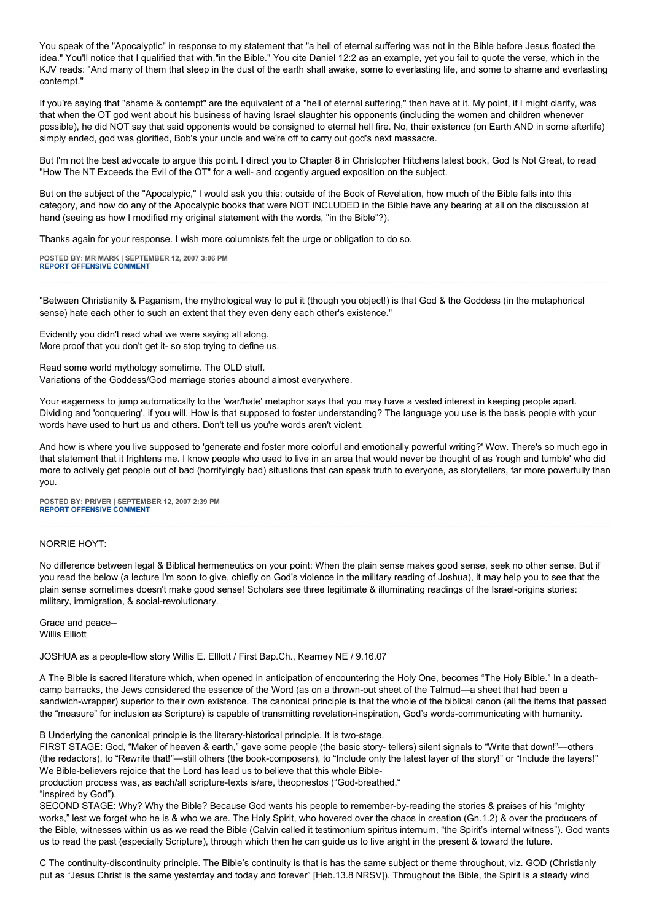You speak of the "Apocalyptic" in response to my statement that "a hell of eternal suffering was not in the Bible before Jesus floated the idea." You'll notice that I qualified that with,"in the Bible." You cite Daniel 12:2 as an example, yet you fail to quote the verse, which in the KJV reads: "And many of them that sleep in the dust of the earth shall awake, some to everlasting life, and some to shame and everlasting contempt."

If you're saying that "shame & contempt" are the equivalent of a "hell of eternal suffering," then have at it. My point, if I might clarify, was that when the OT god went about his business of having Israel slaughter his opponents (including the women and children whenever possible), he did NOT say that said opponents would be consigned to eternal hell fire. No, their existence (on Earth AND in some afterlife) simply ended, god was glorified, Bob's your uncle and we're off to carry out god's next massacre.

But I'm not the best advocate to argue this point. I direct you to Chapter 8 in Christopher Hitchens latest book, God Is Not Great, to read "How The NT Exceeds the Evil of the OT" for a well- and cogently argued exposition on the subject.

But on the subject of the "Apocalypic," I would ask you this: outside of the Book of Revelation, how much of the Bible falls into this category, and how do any of the Apocalypic books that were NOT INCLUDED in the Bible have any bearing at all on the discussion at hand (seeing as how I modified my original statement with the words, "in the Bible"?).

Thanks again for your response. I wish more columnists felt the urge or obligation to do so.

**POSTED BY: MR MARK | SEPTEMBER 12, 2007 3:06 PM [REPORT OFFENSIVE COMMENT](mailto:blogs@washingtonpost.com?subject=On%20Faith%20Panelists%20Blog%20%20%7C%20%20Mr%20Mark%20%20%7C%20%20The%20Tipping%20Point%20to%20Peace%20%20%7C%20%201375999&body=%0D%0D%0D%0D%0D================%0D?__mode=view%26_type=comment%26id=1375999%26blog_id=618)**

"Between Christianity & Paganism, the mythological way to put it (though you object!) is that God & the Goddess (in the metaphorical sense) hate each other to such an extent that they even deny each other's existence."

Evidently you didn't read what we were saying all along. More proof that you don't get it- so stop trying to define us.

Read some world mythology sometime. The OLD stuff. Variations of the Goddess/God marriage stories abound almost everywhere.

Your eagerness to jump automatically to the 'war/hate' metaphor says that you may have a vested interest in keeping people apart. Dividing and 'conquering', if you will. How is that supposed to foster understanding? The language you use is the basis people with your words have used to hurt us and others. Don't tell us you're words aren't violent.

And how is where you live supposed to 'generate and foster more colorful and emotionally powerful writing?' Wow. There's so much ego in that statement that it frightens me. I know people who used to live in an area that would never be thought of as 'rough and tumble' who did more to actively get people out of bad (horrifyingly bad) situations that can speak truth to everyone, as storytellers, far more powerfully than you.

**POSTED BY: PRIVER | SEPTEMBER 12, 2007 2:39 PM [REPORT OFFENSIVE COMMENT](mailto:blogs@washingtonpost.com?subject=On%20Faith%20Panelists%20Blog%20%20%7C%20%20PriveR%20%20%7C%20%20The%20Tipping%20Point%20to%20Peace%20%20%7C%20%201375932&body=%0D%0D%0D%0D%0D================%0D?__mode=view%26_type=comment%26id=1375932%26blog_id=618)**

## NORRIE HOYT:

No difference between legal & Biblical hermeneutics on your point: When the plain sense makes good sense, seek no other sense. But if you read the below (a lecture I'm soon to give, chiefly on God's violence in the military reading of Joshua), it may help you to see that the plain sense sometimes doesn't make good sense! Scholars see three legitimate & illuminating readings of the Israel-origins stories: military, immigration, & social-revolutionary.

Grace and peace-- Willis Elliott

JOSHUA as a people-flow story Willis E. Elllott / First Bap.Ch., Kearney NE / 9.16.07

A The Bible is sacred literature which, when opened in anticipation of encountering the Holy One, becomes "The Holy Bible." In a deathcamp barracks, the Jews considered the essence of the Word (as on a thrown-out sheet of the Talmud—a sheet that had been a sandwich-wrapper) superior to their own existence. The canonical principle is that the whole of the biblical canon (all the items that passed the "measure" for inclusion as Scripture) is capable of transmitting revelation-inspiration, God's words-communicating with humanity.

B Underlying the canonical principle is the literary-historical principle. It is two-stage.

FIRST STAGE: God, "Maker of heaven & earth," gave some people (the basic story- tellers) silent signals to "Write that down!"—others (the redactors), to "Rewrite that!"—still others (the book-composers), to "Include only the latest layer of the story!" or "Include the layers!" We Bible-believers rejoice that the Lord has lead us to believe that this whole Bible-

production process was, as each/all scripture-texts is/are, theopnestos ("God-breathed,"

"inspired by God").

SECOND STAGE: Why? Why the Bible? Because God wants his people to remember-by-reading the stories & praises of his "mighty works," lest we forget who he is & who we are. The Holy Spirit, who hovered over the chaos in creation (Gn.1.2) & over the producers of the Bible, witnesses within us as we read the Bible (Calvin called it testimonium spiritus internum, "the Spirit's internal witness"). God wants us to read the past (especially Scripture), through which then he can guide us to live aright in the present & toward the future.

C The continuity-discontinuity principle. The Bible's continuity is that is has the same subject or theme throughout, viz. GOD (Christianly put as "Jesus Christ is the same yesterday and today and forever" [Heb.13.8 NRSV]). Throughout the Bible, the Spirit is a steady wind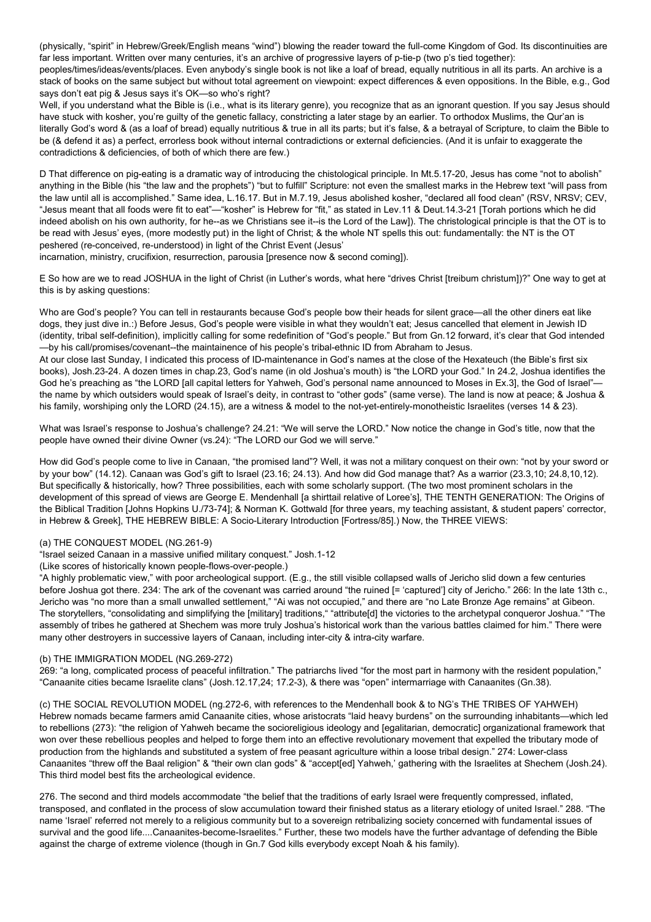(physically, "spirit" in Hebrew/Greek/English means "wind") blowing the reader toward the full-come Kingdom of God. Its discontinuities are far less important. Written over many centuries, it's an archive of progressive layers of p-tie-p (two p's tied together):

peoples/times/ideas/events/places. Even anybody's single book is not like a loaf of bread, equally nutritious in all its parts. An archive is a stack of books on the same subject but without total agreement on viewpoint: expect differences & even oppositions. In the Bible, e.g., God says don't eat pig & Jesus says it's OK—so who's right?

Well, if you understand what the Bible is (i.e., what is its literary genre), you recognize that as an ignorant question. If you say Jesus should have stuck with kosher, you're quilty of the genetic fallacy, constricting a later stage by an earlier. To orthodox Muslims, the Qur'an is literally God's word & (as a loaf of bread) equally nutritious & true in all its parts; but it's false, & a betrayal of Scripture, to claim the Bible to be (& defend it as) a perfect, errorless book without internal contradictions or external deficiencies. (And it is unfair to exaggerate the contradictions & deficiencies, of both of which there are few.)

D That difference on pig-eating is a dramatic way of introducing the chistological principle. In Mt.5.17-20, Jesus has come "not to abolish" anything in the Bible (his "the law and the prophets") "but to fulfill" Scripture: not even the smallest marks in the Hebrew text "will pass from the law until all is accomplished." Same idea, L.16.17. But in M.7.19, Jesus abolished kosher, "declared all food clean" (RSV, NRSV; CEV, "Jesus meant that all foods were fit to eat"—"kosher" is Hebrew for "fit," as stated in Lev.11 & Deut.14.3-21 [Torah portions which he did indeed abolish on his own authority, for he--as we Christians see it--is the Lord of the Law]). The christological principle is that the OT is to be read with Jesus' eyes, (more modestly put) in the light of Christ; & the whole NT spells this out: fundamentally: the NT is the OT peshered (re-conceived, re-understood) in light of the Christ Event (Jesus'

incarnation, ministry, crucifixion, resurrection, parousia [presence now & second coming]).

E So how are we to read JOSHUA in the light of Christ (in Luther's words, what here "drives Christ [treibum christum])?" One way to get at this is by asking questions:

Who are God's people? You can tell in restaurants because God's people bow their heads for silent grace—all the other diners eat like dogs, they just dive in.:) Before Jesus, God's people were visible in what they wouldn't eat; Jesus cancelled that element in Jewish ID (identity, tribal self-definition), implicitly calling for some redefinition of "God's people." But from Gn.12 forward, it's clear that God intended —by his call/promises/covenant--the maintainence of his people's tribal-ethnic ID from Abraham to Jesus.

At our close last Sunday, I indicated this process of ID-maintenance in God's names at the close of the Hexateuch (the Bible's first six books), Josh.23-24. A dozen times in chap.23, God's name (in old Joshua's mouth) is "the LORD your God." In 24.2, Joshua identifies the God he's preaching as "the LORD [all capital letters for Yahweh, God's personal name announced to Moses in Ex.3], the God of Israel" the name by which outsiders would speak of Israel's deity, in contrast to "other gods" (same verse). The land is now at peace; & Joshua & his family, worshiping only the LORD (24.15), are a witness & model to the not-yet-entirely-monotheistic Israelites (verses 14 & 23).

What was Israel's response to Joshua's challenge? 24.21: "We will serve the LORD." Now notice the change in God's title, now that the people have owned their divine Owner (vs.24): "The LORD our God we will serve."

How did God's people come to live in Canaan, "the promised land"? Well, it was not a military conquest on their own: "not by your sword or by your bow" (14.12). Canaan was God's gift to Israel (23.16; 24.13). And how did God manage that? As a warrior (23.3,10; 24.8,10,12). But specifically & historically, how? Three possibilities, each with some scholarly support. (The two most prominent scholars in the development of this spread of views are George E. Mendenhall [a shirttail relative of Loree's], THE TENTH GENERATION: The Origins of the Biblical Tradition [Johns Hopkins U./73-74]; & Norman K. Gottwald [for three years, my teaching assistant, & student papers' corrector, in Hebrew & Greek], THE HEBREW BIBLE: A Socio-Literary Introduction [Fortress/85].) Now, the THREE VIEWS:

## (a) THE CONQUEST MODEL (NG.261-9)

"Israel seized Canaan in a massive unified military conquest." Josh.1-12

(Like scores of historically known people-flows-over-people.)

"A highly problematic view," with poor archeological support. (E.g., the still visible collapsed walls of Jericho slid down a few centuries before Joshua got there. 234: The ark of the covenant was carried around "the ruined [= 'captured'] city of Jericho." 266: In the late 13th c., Jericho was "no more than a small unwalled settlement," "Ai was not occupied," and there are "no Late Bronze Age remains" at Gibeon. The storytellers, "consolidating and simplifying the [military] traditions," "attribute[d] the victories to the archetypal conqueror Joshua." "The assembly of tribes he gathered at Shechem was more truly Joshua's historical work than the various battles claimed for him." There were many other destroyers in successive layers of Canaan, including inter-city & intra-city warfare.

## (b) THE IMMIGRATION MODEL (NG.269-272)

269: "a long, complicated process of peaceful infiltration." The patriarchs lived "for the most part in harmony with the resident population," "Canaanite cities became Israelite clans" (Josh.12.17,24; 17.2-3), & there was "open" intermarriage with Canaanites (Gn.38).

(c) THE SOCIAL REVOLUTION MODEL (ng.272-6, with references to the Mendenhall book & to NG's THE TRIBES OF YAHWEH) Hebrew nomads became farmers amid Canaanite cities, whose aristocrats "laid heavy burdens" on the surrounding inhabitants—which led to rebellions (273): "the religion of Yahweh became the socioreligious ideology and [egalitarian, democratic] organizational framework that won over these rebellious peoples and helped to forge them into an effective revolutionary movement that expelled the tributary mode of production from the highlands and substituted a system of free peasant agriculture within a loose tribal design." 274: Lower-class Canaanites "threw off the Baal religion" & "their own clan gods" & "accept[ed] Yahweh,' gathering with the Israelites at Shechem (Josh.24). This third model best fits the archeological evidence.

276. The second and third models accommodate "the belief that the traditions of early Israel were frequently compressed, inflated, transposed, and conflated in the process of slow accumulation toward their finished status as a literary etiology of united Israel." 288. "The name 'Israel' referred not merely to a religious community but to a sovereign retribalizing society concerned with fundamental issues of survival and the good life....Canaanites-become-Israelites." Further, these two models have the further advantage of defending the Bible against the charge of extreme violence (though in Gn.7 God kills everybody except Noah & his family).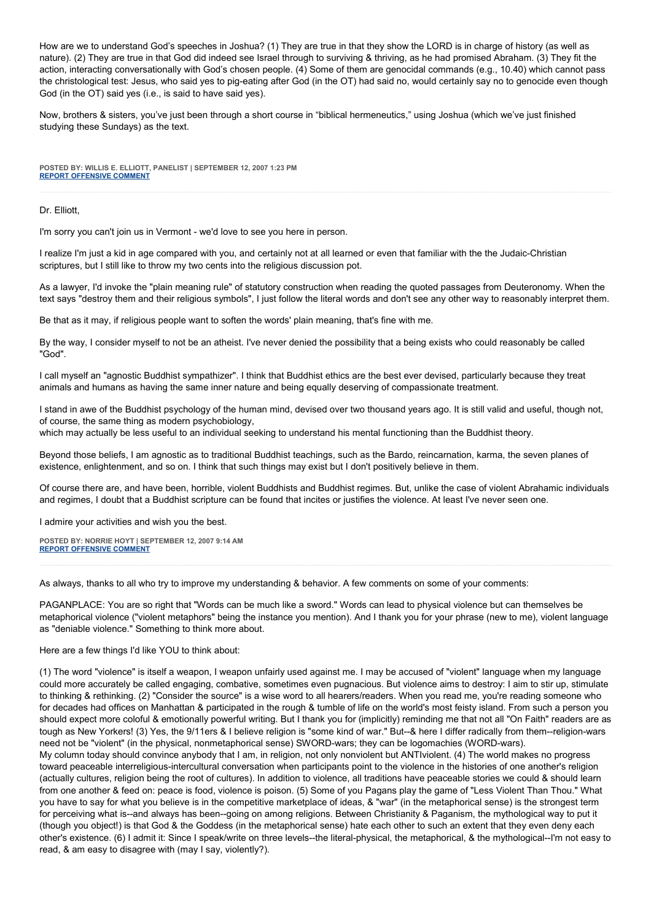How are we to understand God's speeches in Joshua? (1) They are true in that they show the LORD is in charge of history (as well as nature). (2) They are true in that God did indeed see Israel through to surviving & thriving, as he had promised Abraham. (3) They fit the action, interacting conversationally with God's chosen people. (4) Some of them are genocidal commands (e.g., 10.40) which cannot pass the christological test: Jesus, who said yes to pig-eating after God (in the OT) had said no, would certainly say no to genocide even though God (in the OT) said yes (i.e., is said to have said yes).

Now, brothers & sisters, you've just been through a short course in "biblical hermeneutics," using Joshua (which we've just finished studying these Sundays) as the text.

**POSTED BY: WILLIS E. ELLIOTT, PANELIST | SEPTEMBER 12, 2007 1:23 PM [REPORT OFFENSIVE COMMENT](mailto:blogs@washingtonpost.com?subject=On%20Faith%20Panelists%20Blog%20%20%7C%20%20Willis%20E.%20Elliott,%20panelist%20%20%7C%20%20The%20Tipping%20Point%20to%20Peace%20%20%7C%20%201375735&body=%0D%0D%0D%0D%0D================%0D?__mode=view%26_type=comment%26id=1375735%26blog_id=618)**

Dr. Elliott,

I'm sorry you can't join us in Vermont - we'd love to see you here in person.

I realize I'm just a kid in age compared with you, and certainly not at all learned or even that familiar with the the Judaic-Christian scriptures, but I still like to throw my two cents into the religious discussion pot.

As a lawyer, I'd invoke the "plain meaning rule" of statutory construction when reading the quoted passages from Deuteronomy. When the text says "destroy them and their religious symbols", I just follow the literal words and don't see any other way to reasonably interpret them.

Be that as it may, if religious people want to soften the words' plain meaning, that's fine with me.

By the way, I consider myself to not be an atheist. I've never denied the possibility that a being exists who could reasonably be called "God".

I call myself an "agnostic Buddhist sympathizer". I think that Buddhist ethics are the best ever devised, particularly because they treat animals and humans as having the same inner nature and being equally deserving of compassionate treatment.

I stand in awe of the Buddhist psychology of the human mind, devised over two thousand years ago. It is still valid and useful, though not, of course, the same thing as modern psychobiology,

which may actually be less useful to an individual seeking to understand his mental functioning than the Buddhist theory.

Beyond those beliefs, I am agnostic as to traditional Buddhist teachings, such as the Bardo, reincarnation, karma, the seven planes of existence, enlightenment, and so on. I think that such things may exist but I don't positively believe in them.

Of course there are, and have been, horrible, violent Buddhists and Buddhist regimes. But, unlike the case of violent Abrahamic individuals and regimes, I doubt that a Buddhist scripture can be found that incites or justifies the violence. At least I've never seen one.

I admire your activities and wish you the best.

**POSTED BY: NORRIE HOYT | SEPTEMBER 12, 2007 9:14 AM [REPORT OFFENSIVE COMMENT](mailto:blogs@washingtonpost.com?subject=On%20Faith%20Panelists%20Blog%20%20%7C%20%20Norrie%20Hoyt%20%20%7C%20%20The%20Tipping%20Point%20to%20Peace%20%20%7C%20%201354932&body=%0D%0D%0D%0D%0D================%0D?__mode=view%26_type=comment%26id=1354932%26blog_id=618)**

As always, thanks to all who try to improve my understanding & behavior. A few comments on some of your comments:

PAGANPLACE: You are so right that "Words can be much like a sword." Words can lead to physical violence but can themselves be metaphorical violence ("violent metaphors" being the instance you mention). And I thank you for your phrase (new to me), violent language as "deniable violence." Something to think more about.

Here are a few things I'd like YOU to think about:

(1) The word "violence" is itself a weapon, I weapon unfairly used against me. I may be accused of "violent" language when my language could more accurately be called engaging, combative, sometimes even pugnacious. But violence aims to destroy: I aim to stir up, stimulate to thinking & rethinking. (2) "Consider the source" is a wise word to all hearers/readers. When you read me, you're reading someone who for decades had offices on Manhattan & participated in the rough & tumble of life on the world's most feisty island. From such a person you should expect more coloful & emotionally powerful writing. But I thank you for (implicitly) reminding me that not all "On Faith" readers are as tough as New Yorkers! (3) Yes, the 9/11ers & I believe religion is "some kind of war." But--& here I differ radically from them--religion-wars need not be "violent" (in the physical, nonmetaphorical sense) SWORD-wars; they can be logomachies (WORD-wars). My column today should convince anybody that I am, in religion, not only nonviolent but ANTIviolent. (4) The world makes no progress toward peaceable interreligious-intercultural conversation when participants point to the violence in the histories of one another's religion

(actually cultures, religion being the root of cultures). In addition to violence, all traditions have peaceable stories we could & should learn from one another & feed on: peace is food, violence is poison. (5) Some of you Pagans play the game of "Less Violent Than Thou." What you have to say for what you believe is in the competitive marketplace of ideas, & "war" (in the metaphorical sense) is the strongest term for perceiving what is--and always has been--going on among religions. Between Christianity & Paganism, the mythological way to put it (though you object!) is that God & the Goddess (in the metaphorical sense) hate each other to such an extent that they even deny each other's existence. (6) I admit it: Since I speak/write on three levels--the literal-physical, the metaphorical, & the mythological--I'm not easy to read, & am easy to disagree with (may I say, violently?).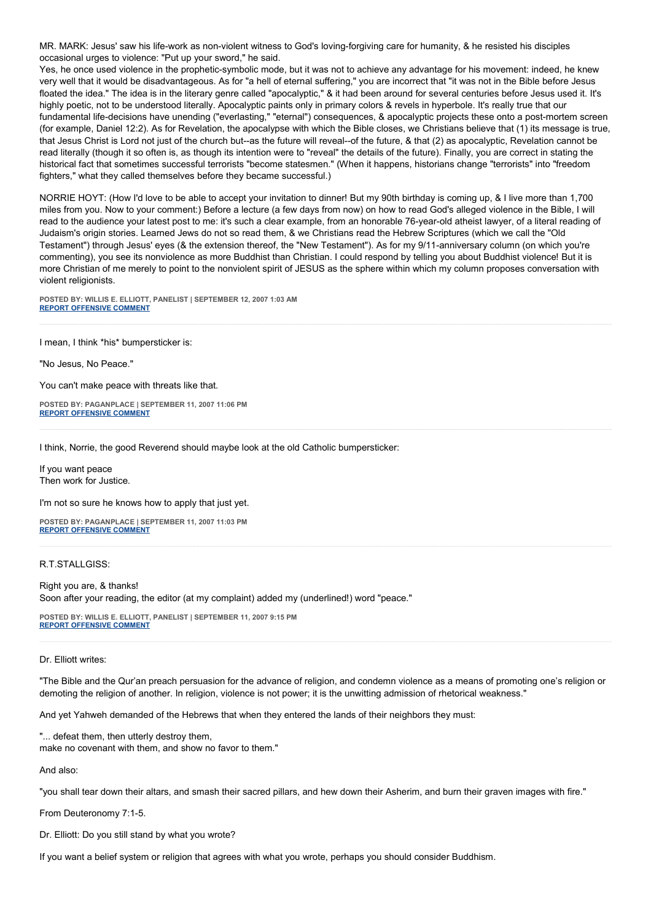MR. MARK: Jesus' saw his life-work as non-violent witness to God's loving-forgiving care for humanity, & he resisted his disciples occasional urges to violence: "Put up your sword," he said.

Yes, he once used violence in the prophetic-symbolic mode, but it was not to achieve any advantage for his movement: indeed, he knew very well that it would be disadvantageous. As for "a hell of eternal suffering," you are incorrect that "it was not in the Bible before Jesus floated the idea." The idea is in the literary genre called "apocalyptic," & it had been around for several centuries before Jesus used it. It's highly poetic, not to be understood literally. Apocalyptic paints only in primary colors & revels in hyperbole. It's really true that our fundamental life-decisions have unending ("everlasting," "eternal") consequences, & apocalyptic projects these onto a post-mortem screen (for example, Daniel 12:2). As for Revelation, the apocalypse with which the Bible closes, we Christians believe that (1) its message is true, that Jesus Christ is Lord not just of the church but--as the future will reveal--of the future, & that (2) as apocalyptic, Revelation cannot be read literally (though it so often is, as though its intention were to "reveal" the details of the future). Finally, you are correct in stating the historical fact that sometimes successful terrorists "become statesmen." (When it happens, historians change "terrorists" into "freedom fighters," what they called themselves before they became successful.)

NORRIE HOYT: (How I'd love to be able to accept your invitation to dinner! But my 90th birthday is coming up, & I live more than 1,700 miles from you. Now to your comment:) Before a lecture (a few days from now) on how to read God's alleged violence in the Bible, I will read to the audience your latest post to me: it's such a clear example, from an honorable 76-year-old atheist lawyer, of a literal reading of Judaism's origin stories. Learned Jews do not so read them, & we Christians read the Hebrew Scriptures (which we call the "Old Testament") through Jesus' eyes (& the extension thereof, the "New Testament"). As for my 9/11-anniversary column (on which you're commenting), you see its nonviolence as more Buddhist than Christian. I could respond by telling you about Buddhist violence! But it is more Christian of me merely to point to the nonviolent spirit of JESUS as the sphere within which my column proposes conversation with violent religionists.

**POSTED BY: WILLIS E. ELLIOTT, PANELIST | SEPTEMBER 12, 2007 1:03 AM [REPORT OFFENSIVE COMMENT](mailto:blogs@washingtonpost.com?subject=On%20Faith%20Panelists%20Blog%20%20%7C%20%20Willis%20E.%20Elliott,%20panelist%20%20%7C%20%20The%20Tipping%20Point%20to%20Peace%20%20%7C%20%201354081&body=%0D%0D%0D%0D%0D================%0D?__mode=view%26_type=comment%26id=1354081%26blog_id=618)**

I mean, I think \*his\* bumpersticker is:

"No Jesus, No Peace."

You can't make peace with threats like that.

**POSTED BY: PAGANPLACE | SEPTEMBER 11, 2007 11:06 PM [REPORT OFFENSIVE COMMENT](mailto:blogs@washingtonpost.com?subject=On%20Faith%20Panelists%20Blog%20%20%7C%20%20Paganplace%20%20%7C%20%20The%20Tipping%20Point%20to%20Peace%20%20%7C%20%201353862&body=%0D%0D%0D%0D%0D================%0D?__mode=view%26_type=comment%26id=1353862%26blog_id=618)**

I think, Norrie, the good Reverend should maybe look at the old Catholic bumpersticker:

If you want peace Then work for Justice.

I'm not so sure he knows how to apply that just yet.

**POSTED BY: PAGANPLACE | SEPTEMBER 11, 2007 11:03 PM [REPORT OFFENSIVE COMMENT](mailto:blogs@washingtonpost.com?subject=On%20Faith%20Panelists%20Blog%20%20%7C%20%20Paganplace%20%20%7C%20%20The%20Tipping%20Point%20to%20Peace%20%20%7C%20%201353857&body=%0D%0D%0D%0D%0D================%0D?__mode=view%26_type=comment%26id=1353857%26blog_id=618)**

# R.T.STALLGISS:

Right you are, & thanks! Soon after your reading, the editor (at my complaint) added my (underlined!) word "peace."

**POSTED BY: WILLIS E. ELLIOTT, PANELIST | SEPTEMBER 11, 2007 9:15 PM [REPORT OFFENSIVE COMMENT](mailto:blogs@washingtonpost.com?subject=On%20Faith%20Panelists%20Blog%20%20%7C%20%20Willis%20E.%20Elliott,%20panelist%20%20%7C%20%20The%20Tipping%20Point%20to%20Peace%20%20%7C%20%201353650&body=%0D%0D%0D%0D%0D================%0D?__mode=view%26_type=comment%26id=1353650%26blog_id=618)**

### Dr. Elliott writes:

"The Bible and the Qur'an preach persuasion for the advance of religion, and condemn violence as a means of promoting one's religion or demoting the religion of another. In religion, violence is not power; it is the unwitting admission of rhetorical weakness."

And yet Yahweh demanded of the Hebrews that when they entered the lands of their neighbors they must:

"... defeat them, then utterly destroy them, make no covenant with them, and show no favor to them."

And also:

"you shall tear down their altars, and smash their sacred pillars, and hew down their Asherim, and burn their graven images with fire."

From Deuteronomy 7:1-5.

Dr. Elliott: Do you still stand by what you wrote?

If you want a belief system or religion that agrees with what you wrote, perhaps you should consider Buddhism.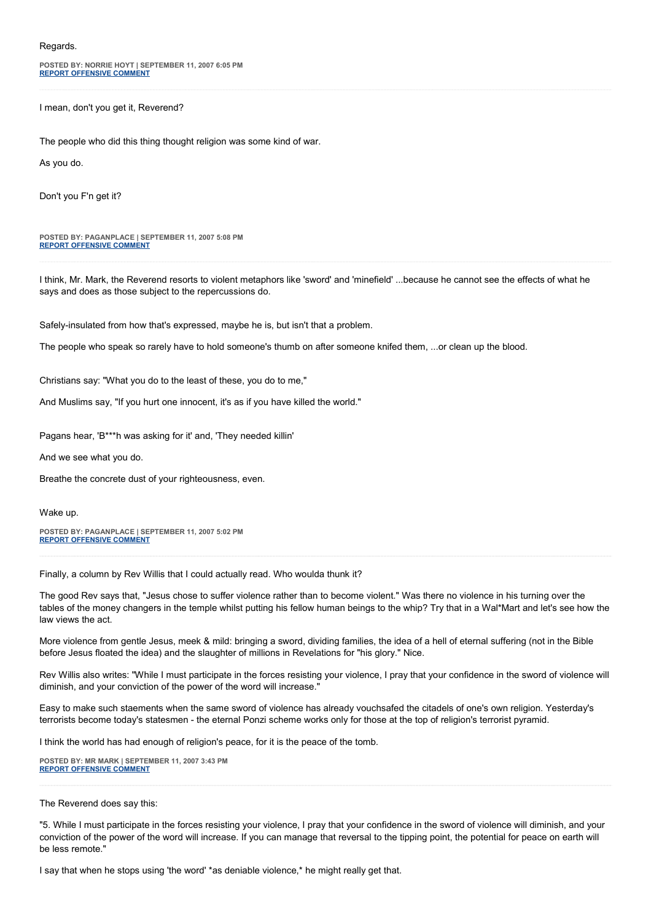#### Regards.

**POSTED BY: NORRIE HOYT | SEPTEMBER 11, 2007 6:05 PM [REPORT OFFENSIVE COMMENT](mailto:blogs@washingtonpost.com?subject=On%20Faith%20Panelists%20Blog%20%20%7C%20%20Norrie%20Hoyt%20%20%7C%20%20The%20Tipping%20Point%20to%20Peace%20%20%7C%20%201353238&body=%0D%0D%0D%0D%0D================%0D?__mode=view%26_type=comment%26id=1353238%26blog_id=618)**

I mean, don't you get it, Reverend?

The people who did this thing thought religion was some kind of war.

As you do.

Don't you F'n get it?

**POSTED BY: PAGANPLACE | SEPTEMBER 11, 2007 5:08 PM [REPORT OFFENSIVE COMMENT](mailto:blogs@washingtonpost.com?subject=On%20Faith%20Panelists%20Blog%20%20%7C%20%20Paganplace%20%20%7C%20%20The%20Tipping%20Point%20to%20Peace%20%20%7C%20%201353085&body=%0D%0D%0D%0D%0D================%0D?__mode=view%26_type=comment%26id=1353085%26blog_id=618)**

I think, Mr. Mark, the Reverend resorts to violent metaphors like 'sword' and 'minefield' ...because he cannot see the effects of what he says and does as those subject to the repercussions do.

Safely-insulated from how that's expressed, maybe he is, but isn't that a problem.

The people who speak so rarely have to hold someone's thumb on after someone knifed them, ...or clean up the blood.

Christians say: "What you do to the least of these, you do to me,"

And Muslims say, "If you hurt one innocent, it's as if you have killed the world."

Pagans hear, 'B\*\*\*h was asking for it' and, 'They needed killin'

And we see what you do.

Breathe the concrete dust of your righteousness, even.

Wake up.

**POSTED BY: PAGANPLACE | SEPTEMBER 11, 2007 5:02 PM [REPORT OFFENSIVE COMMENT](mailto:blogs@washingtonpost.com?subject=On%20Faith%20Panelists%20Blog%20%20%7C%20%20Paganplace%20%20%7C%20%20The%20Tipping%20Point%20to%20Peace%20%20%7C%20%201353069&body=%0D%0D%0D%0D%0D================%0D?__mode=view%26_type=comment%26id=1353069%26blog_id=618)**

Finally, a column by Rev Willis that I could actually read. Who woulda thunk it?

The good Rev says that, "Jesus chose to suffer violence rather than to become violent." Was there no violence in his turning over the tables of the money changers in the temple whilst putting his fellow human beings to the whip? Try that in a Wal\*Mart and let's see how the law views the act.

More violence from gentle Jesus, meek & mild: bringing a sword, dividing families, the idea of a hell of eternal suffering (not in the Bible before Jesus floated the idea) and the slaughter of millions in Revelations for "his glory." Nice.

Rev Willis also writes: "While I must participate in the forces resisting your violence, I pray that your confidence in the sword of violence will diminish, and your conviction of the power of the word will increase."

Easy to make such staements when the same sword of violence has already vouchsafed the citadels of one's own religion. Yesterday's terrorists become today's statesmen - the eternal Ponzi scheme works only for those at the top of religion's terrorist pyramid.

I think the world has had enough of religion's peace, for it is the peace of the tomb.

**POSTED BY: MR MARK | SEPTEMBER 11, 2007 3:43 PM [REPORT OFFENSIVE COMMENT](mailto:blogs@washingtonpost.com?subject=On%20Faith%20Panelists%20Blog%20%20%7C%20%20Mr%20Mark%20%20%7C%20%20The%20Tipping%20Point%20to%20Peace%20%20%7C%20%201352868&body=%0D%0D%0D%0D%0D================%0D?__mode=view%26_type=comment%26id=1352868%26blog_id=618)**

The Reverend does say this:

"5. While I must participate in the forces resisting your violence, I pray that your confidence in the sword of violence will diminish, and your conviction of the power of the word will increase. If you can manage that reversal to the tipping point, the potential for peace on earth will be less remote."

I say that when he stops using 'the word' \*as deniable violence,\* he might really get that.